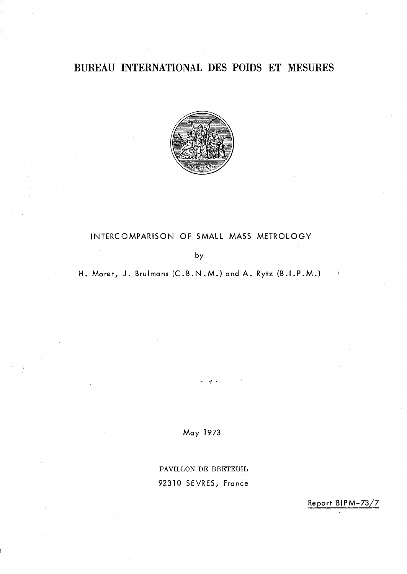# BUREAU INTERNATIONAL DES POIDS ET MESURES



# INTERCOMPARISON OF SMALL MASS METROLOGY

by

H. Moret, J. Brulmans (C.B.N.M.) and A. Rytz (B.I.P.M.)

May 1973

PAVILLON DE BRETEUIL 92310 SEVRES, France

Report BIPM-73/7

 $\frac{\partial}{\partial t}$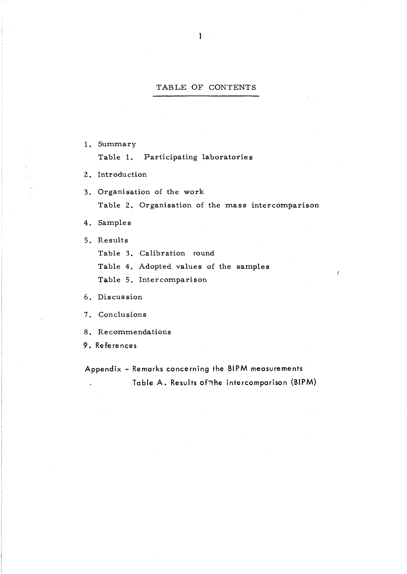### TABLE OF CONTENTS

- 1. Summary Table 1. Participating laboratories
- 2. Introduction
- 3. Organisation of the work Table 2. Organisation of the mass intercomparison

Ý

4. Samples

5. Results

Table 3. Calibration round

Table 4. Adopted values of the samples

Table 5. Intercomparison

6. Discussion

- 7. Conclusions
- 8. Recommendations
- 9. References

Appendix - Remarks concerning the BIPM measurements Table A. Results of the intercomparison (BIPM)  $\ddot{\phantom{a}}$ 

 $1 -$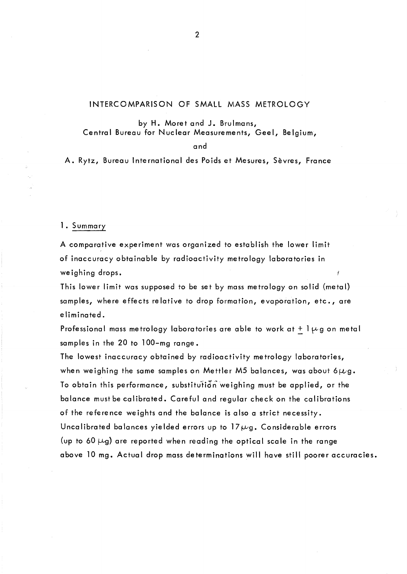# INTERCOMPARISON OF SMALL MASS METROLOGY

by H. Moret and J. Brulmans, Central Bureau for Nuclear Measurements, Geel, Belgium,

and

A. Rytz, Bureau International des Poids et Mesures, Sèvres, France

1. Summary

A comparative experiment was organized to establish the lower limit of inaccuracy obtainable by radioactivity metrology laboratories in weighing drops.

This lower limit was supposed to be set by mass metrology on solid (metal) samples, where effects re lative to drop formation, evaporation, etc., are eliminated.

Professional mass metrology laboratories are able to work at +  $1\mu$ g on metal samples in the 20 to 100-mg range.

The lowest inaccuracy obtained by radioactivity metrology laboratories, when weighing the same samples on Mettler M5 balances, was about 6 $\mu$ g. To obtain this performance, substitution weighing must be applied, or the balance mustbe calibrated. Careful and regular check on the calibrations of the reference weights and the balance is also a strict necessity. Uncalibrated balances yielded errors up to  $17 \mu g$ . Considerable errors (up to 60  $\mu$ g) are reported when reading the optical scale in the range above 10 mg. Actual drop mass determinations will have still poorer accuracies.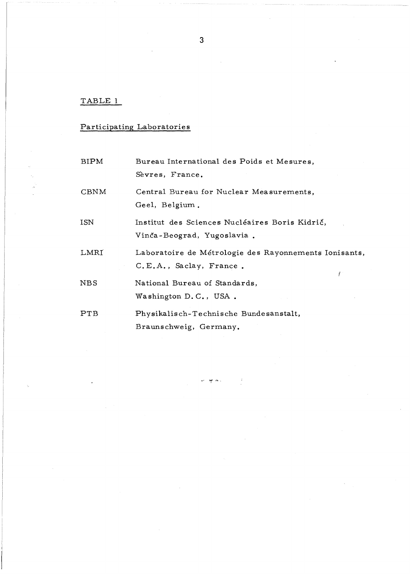# TABLE 1

# Participating Laboratories

| <b>BIPM</b>  | Bureau International des Poids et Mesures,<br>Sèvres, France.                          |
|--------------|----------------------------------------------------------------------------------------|
| <b>CBNM</b>  | Central Bureau for Nuclear Measurements,<br>Geel, Belgium.                             |
| ISN          | Institut des Sciences Nucléaires Boris Kidrič,<br>Vinča-Beograd, Yugoslavia.           |
| LMRI         | Laboratoire de Métrologie des Rayonnements Ionisants,<br>C.E.A., Saclay, France.<br>Ÿ. |
| $_{\rm NBS}$ | National Bureau of Standards,<br>Washington D.C., USA.                                 |
| PTB          | Physikalisch-Technische Bundesanstalt,<br>Braunschweig, Germany.                       |

 $\frac{1}{2}$  ,  $\frac{1}{2}$  ,  $\mathbf{v}^{(k)}$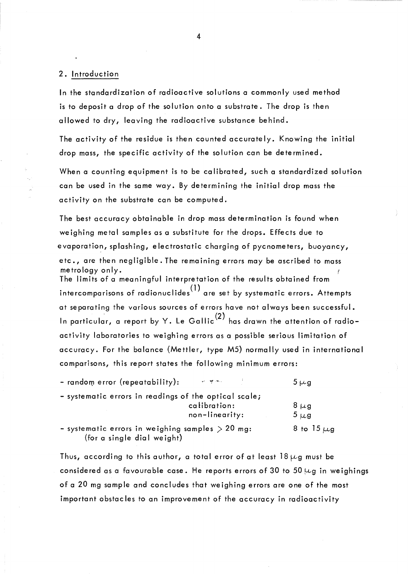## 2. Introduction

ln the standardization of radioactive solutions a commonly used method is to deposit a drop of the solution onto a substrate. The drop is then allowed to dry, leaving the radioactive substance behind.

The activity of the residue is then counted accurately. Knowing the initial drop mass, the specific activity of the solution can be determined.

When a counting equipment is to be calibrated, such a standardized solution can be used in the same way. By determining the initial drop mass the activity on the substrate can be computed.

The best accuracy obtainable in drop mass determination is found when weighing metal samples as a substitute for the drops. Effects due to evaporation, splashing, electrostatic charging of pycnometers, buoyancy, etc., are then negligible. The remaining errors may be ascribed to mass metrology only. f The limits of a meaningful interpretation of the results obtained from intercomparisons of radionuclides<sup>(1)</sup> are set by systematic errors. Attempts at separating the various sources of errors have not always been successful. In particular, a report by Y. Le Gallic<sup>(2)</sup> has drawn the attention of radioactivity laboratories to weighing errors as a possible serious limitation of accuracy. For the balance (Mettler, type M5) normally used in international comparisons, this report states the following minimum errors:

| - random error (repeatability):                                                  | we are more than the | $5 \mu$ g       |
|----------------------------------------------------------------------------------|----------------------|-----------------|
| - systematic errors in readings of the optical scale;                            |                      |                 |
|                                                                                  | calibration:         | $8 \mu g$       |
|                                                                                  | non-linearity:       | $5 \mu g$       |
| - systematic errors in weighing samples $>$ 20 mg:<br>(for a single dial weight) |                      | 8 to $15 \mu$ g |

Thus, according to this author, a total error of at least 18  $\mu$ g must be considered as a favourable case. He reports errors of 30 to 50  $\mu$ g in weighings of a 20 mg sample and concludes that weighing errors are one of the most important obstacles to an improvement of the accuracy in radioactivity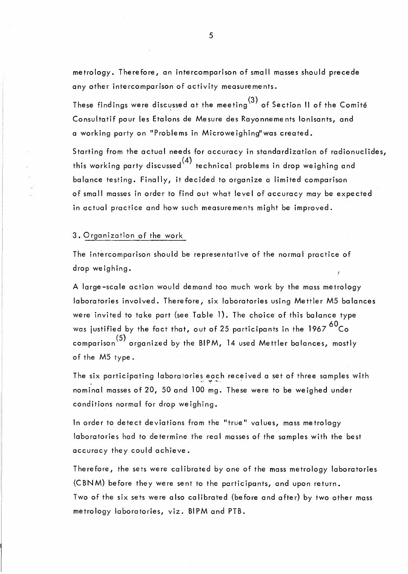metrology. Therefore, an intercomparison of small masses should precede any other intercomparison of activity measurements.

These findings were disc~ssed at the meeting(3) of Section **Il** of the Comité Consultatif pour les Etalons de Mesure des Rayonnements Ionisants, and a working party on "Problems in Microwe ighing"was created.

Starting from the actual needs for accuracy in standardization of radionuclides, this working party discussed  $(4)$  technical problems in drop weighing and balance testing. Finally, it decided to organize a limited comparison of small masses in order to find out what level of accuracy may be expected in actual practice and how such measurements might be improved.

3. Organization of the work

The intercomparison should be representative of the normal practice of drop weighing.

A large-scale action would demand too much work by the mass metrology laboratories involved. Therefore, six laboratories using Mettler M5 balances were invited to take part (see Table 1). The choice of this balance type was justified by the fact that, out of 25 participants in the  $1967 \frac{60}{c}$ Co comparison<sup>(5)</sup> organized by the BIPM, 14 used Mettler balances, mostly of the M5 type.

The six participating laboratories each received a set of three samples with ~, *1>tf* '-"" nominal massesof20, 50and 100 mg. These were to be weighed under conditions normal for drop weighing.

ln order to detect deviations from the "true" values, mass metrology laboratories had to determine the real masses of the samples with the best accuracy they could achieve.

Therefore, the sets were calibrated by one of the mass metrology laboratories (CBNM) before they were sent to the participants, and upon return. Two of the six sets were also calibrated (before and after) by two other mass metrology laboratories, viz. BIPM and PTB.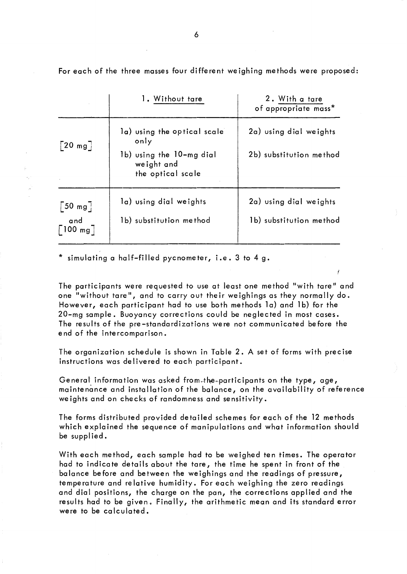For each of the three masses four different weighing methods were proposed:

|                                 | 1. Without tare                                             | 2. With a tare<br>of appropriate mass* |
|---------------------------------|-------------------------------------------------------------|----------------------------------------|
| $\lceil 20 \text{ mg} \rceil$   | la) using the optical scale<br>only                         | 2a) using dial weights                 |
|                                 | 1b) using the 10-mg dial<br>weight and<br>the optical scale | 2b) substitution method                |
| $\left[50 \text{ mg}\right]$    | la) using dial weights                                      | 2a) using dial weights                 |
| and<br>$\lceil$ 100 mg $\rceil$ | 1b) substitution method                                     | 1b) substitution method                |

\* simulating a half-filled pycnometer, i.e. 3 to 4 g.

The participants were requested to use at least one method "with tare" and one "without tare", and to carry out their weighings as they normally do. However, each participant had to use both methods la) and 1b) for the 20-mg sample. Buoyancy corrections could be neglected in most cases. The resultsof the pre-standardizations were not communicated before the end of the intercomparison.

The organization schedule is shown in Table 2. A set of forms with precise instructions was delivered to each participant.

General information was asked from the participants on the type, age, maintenânce and installation of the balance, on the availability of reference we ights and on checks of randomness and sensitivity.

The forms distributed provided detailed schemes for each of the 12 methods which explained the sequence of manipulations and what information should be supplied.

With each method, each sample had to be weighed ten times. The operator had to indicate details about the tare, the time he spent in front of the balance before and between the weighings and the readings of pressure, temperature and relative humidity. For each weighing the zero readings and dial positions, the charge on the pan, the corrections applied and the results had to be given. Finally, the arithmetic mean and its standard error were to be calculated.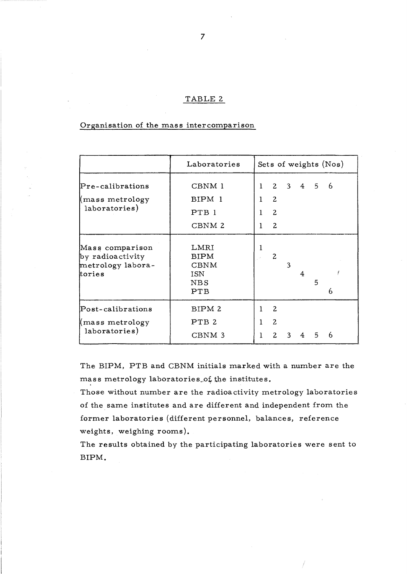### TABLE 2

### Organisation of the mass intercomparison

|                                                                    | Laboratories                                            |                                    |                                                                    |   |             |   | Sets of weights (Nos) |  |
|--------------------------------------------------------------------|---------------------------------------------------------|------------------------------------|--------------------------------------------------------------------|---|-------------|---|-----------------------|--|
| $\Pr$ e-calibrations<br>mass metrology<br>laboratories)            | CBNM 1<br>BIPM 1<br>PTB <sub>1</sub><br>CBNM 2          | $\bf{l}$<br>1<br>$\mathbf{1}$<br>1 | $\mathbf{2}$<br>$\overline{2}$<br>$\overline{2}$<br>$\overline{2}$ |   | $3 \quad 4$ | 5 | 6                     |  |
| Mass comparison<br>by radioactivity<br>metrology labora-<br>tories | LMRI<br><b>BIPM</b><br><b>CBNM</b><br>ISN<br>NBS<br>PTB | 1                                  | 2                                                                  | 3 | 4           | 5 | 6                     |  |
| Post-calibrations<br>mass metrology<br>laboratories)               | BIPM 2<br>PTB <sub>2</sub><br>CBNM 3                    | 1<br>1<br>$\mathbf 1$              | $\overline{c}$<br>$\overline{c}$<br>$\overline{c}$                 | 3 |             | 5 | 6                     |  |

The BIPM, PTB and CBNM initiaIs marked with a number are the mass metrology laboratories, of the institutes.

Those without number are the radioactivity metrology laboratories of the same institutes and are different and independent from the former laboratories (different personnel, balances, reference weights, weighing rooms).

The results obtained by the participating laboratories were sent to BIPM.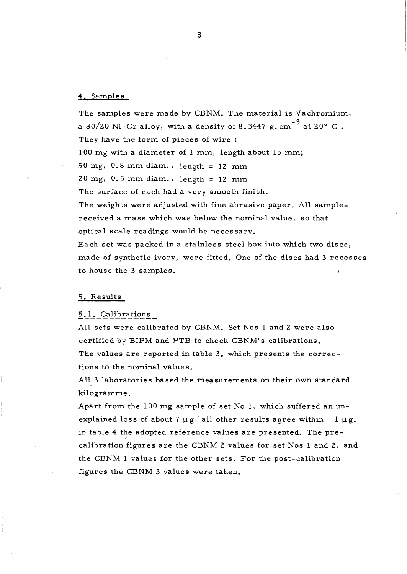### 4. Samples

The samples were made by CBNM. The material is Vachromium, a 80/20 Ni-Cr alloy, with a density of 8.3447 g. cm<sup>-3</sup> at 20° C. They have the form of pieces of wire : 100 mg with a diameter of 1 mm, length about 15 mm; 50 mg, 0.8 mm diam., length = 12 mm 20 mg, 0.5 mm diam., length = 12 mm The surface of each had a very smooth finish. The weights were adjusted with fine abrasive paper. All samples received a mass which was below the nominal value, so that optical scale readings would be necessary. Each set was packed in a stainless steel box into which two dises, made of synthetic ivory, were fitted. One of the discs had 3 recesses to house the 3 samples.

#### 5. Results

### 5.1. Calibrations

AU sets were calibrated by CBNM. Set Nos 1 and 2 were also certified by BIPM and PTB to check CBNM's calibrations. The values are reported in table 3. which presents the corrections to the nominal values.

All 3 laboratories based the measurements on their own standard kilogramme.

Apart from the 100 mg sample of set No 1, which suffered an unexplained loss of about 7  $\mu$ g, all other results agree within 1  $\mu$ g. In table 4 the adopted reference values are presented. The precalibration figures are the CBNM 2 values for set Nos 1 and 2, and the CBNM 1 values for the other sets. For the post- calibration figures the CBNM 3 values were taken.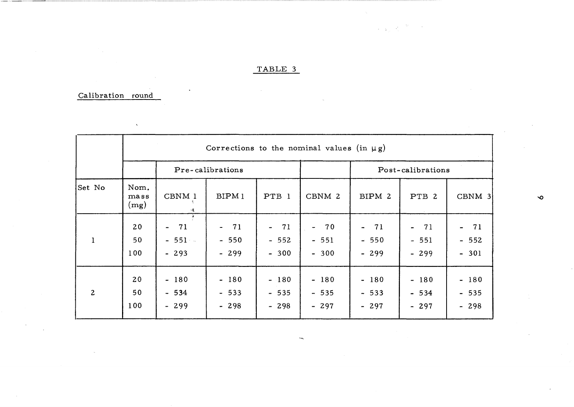# TABLE 3

Service Store

# Calibration round

 $\overline{ }$ 

|                | Corrections to the nominal values (in $\mu$ g) |                             |                            |                            |                            |                            |                            |                                                    |  |  |  |
|----------------|------------------------------------------------|-----------------------------|----------------------------|----------------------------|----------------------------|----------------------------|----------------------------|----------------------------------------------------|--|--|--|
|                |                                                |                             | Pre-calibrations           |                            |                            | Post-calibrations          |                            |                                                    |  |  |  |
| Set No         | Nom.<br>mass<br>(mg)                           | CBNM 1<br>-3                | BIPM <sub>1</sub>          | PTB 1                      | CBNM 2                     | BIPM 2                     | PTB 2                      | $CBNM$ 3                                           |  |  |  |
| $\mathbf{1}$   | 20<br>50<br>100                                | $-71$<br>$-551 -$<br>$-293$ | $-71$<br>$-550$<br>$-299$  | $-71$<br>$-552$<br>$-300$  | $-70$<br>$-551$<br>$-300$  | $-71$<br>$-550$<br>$-299$  | $-71$<br>$-551$<br>$-299$  | 71<br>$\overline{\phantom{a}}$<br>$-552$<br>$-301$ |  |  |  |
| $\overline{2}$ | 20<br>50<br>100                                | $-180$<br>$-534$<br>$-299$  | $-180$<br>$-533$<br>$-298$ | $-180$<br>$-535$<br>$-298$ | $-180$<br>$-535$<br>$-297$ | $-180$<br>$-533$<br>$-297$ | $-180$<br>$-534$<br>$-297$ | $-180$<br>$-535$<br>$-298$                         |  |  |  |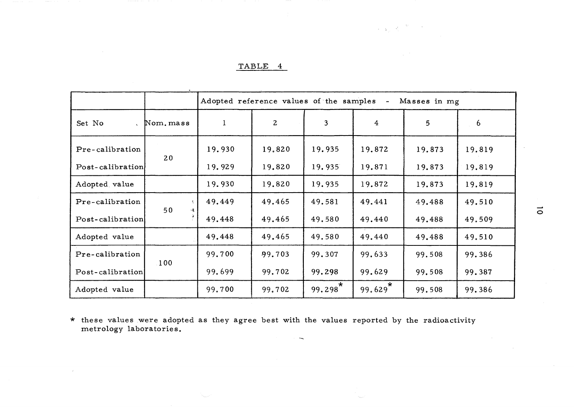|  | ۰. |  |
|--|----|--|
|  |    |  |

|                      |                      | Adopted reference values of the samples -<br>Masses in mg |              |                       |                |        |        |  |  |  |
|----------------------|----------------------|-----------------------------------------------------------|--------------|-----------------------|----------------|--------|--------|--|--|--|
| Set No<br>$\sqrt{2}$ | Nom. mass            | $\mathbf{1}$                                              | $\mathbf{2}$ | $\overline{3}$        | $\overline{4}$ | 5      | 6      |  |  |  |
| Pre-calibration      | 20                   | 19.930                                                    | 19.820       | 19.935                | 19.872         | 19.873 | 19.819 |  |  |  |
| Post-calibration     |                      | 19.929                                                    | 19.820       | 19.935                | 19.871         | 19.873 | 19.819 |  |  |  |
| Adopted value        |                      | 19.930                                                    | 19.820       | 19.935                | 19.872         | 19.873 | 19.819 |  |  |  |
| Pre-calibration      | Å,<br>50<br>$\sim$ E | 49.449                                                    | 49.465       | 49.581                | 49.441         | 49.488 | 49.510 |  |  |  |
| Post-calibration     |                      | 49.448                                                    | 49.465       | 49.580                | 49.440         | 49.488 | 49.509 |  |  |  |
| Adopted value        |                      | 49.448                                                    | 49.465       | 49.580                | 49.440         | 49.488 | 49.510 |  |  |  |
| Pre-calibration      |                      | 99.700                                                    | 99.703       | 99.307                | 99.633         | 99.508 | 99.386 |  |  |  |
| Post-calibration     | 100                  | 99.699                                                    | 99.702       | 99.298                | 99.629         | 99.508 | 99.387 |  |  |  |
| Adopted value        |                      | 99.700                                                    | 99.702       | $99.298$ <sup>*</sup> | 99.629         | 99.508 | 99.386 |  |  |  |

**1990年** 

\* these values were adopted as they agree best with the values reported by the radioactivity metrology laboratories.

 $\vec{0}$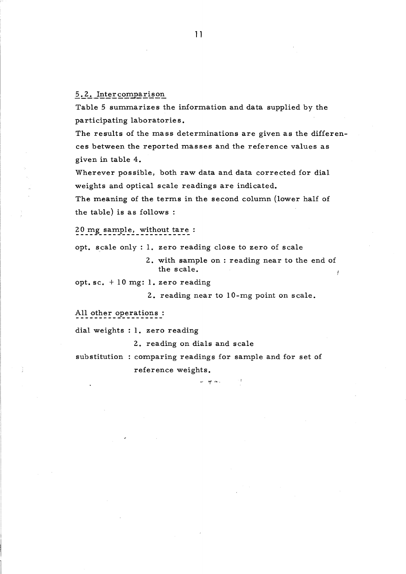5.2. Intercomparison

Table 5 summarizes the information and data supplied by the participating laboratories.

The results of the mass determinations are given as the differences between the reported masses and the reference values as given in table 4.

Wherever possible, both raw data and data corrected for dial weights and optical scale readings are indicated.

The meaning of the terms in the second column (lower half of the table) is as follows :

20 mg sample, without tare:

opt. scale only : 1. zero reading close to zero of scale

2. with sample on : reading near to the end of the scale.

opt. sc. + 10 mg: 1. zero reading

2. reading near to 10-mg point on scale.

All other operations :

dial weights : 1. zero reading

2. reading on dials and scale

substitution : comparing readings for sample and for set of reference weights.

se aprova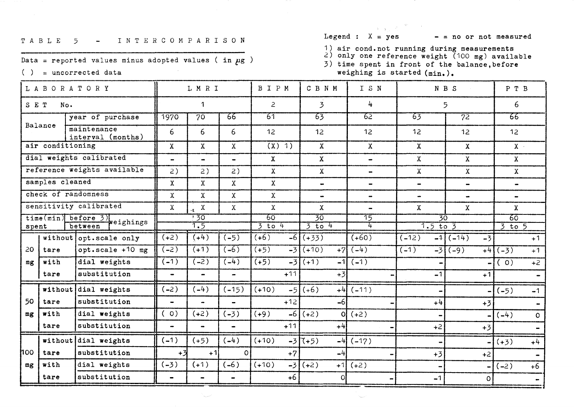#### TABLE 5 - INTERCOMPARISON

Data = reported values minus adopted values (in  $\mu$ g)

 $( )$  = uncorrected data

Legend :  $X = yes$ 

 $-$  = no or not measured

1) air cond.not running during measurements<br>
2) only one reference weight  $(100 \text{ mg})$  available<br>
3) time spent in front of the balance, before

weighing is started (min.).  $\overline{\mathbf{C}}$  $\overline{\mathsf{T}}$ 

**Carl Commercial** 

| L A B O R A T O R Y |                                                   |                                  | LMRI                         |                              | BIPM                             | CBNM            | I S N           |                                 | N B S                      | P T B                  |                              |
|---------------------|---------------------------------------------------|----------------------------------|------------------------------|------------------------------|----------------------------------|-----------------|-----------------|---------------------------------|----------------------------|------------------------|------------------------------|
| SET<br>No.          |                                                   | $\mathbf{1}$                     |                              | $\overline{2}$               | $\overline{3}$                   | 4               |                 | 5                               | 6                          |                        |                              |
|                     |                                                   | year of purchase                 | 1970                         | $\overline{70}$              | 66                               | $\overline{61}$ | $\overline{63}$ | <u> 29</u>                      | 63                         | $\overline{72}$        | 66                           |
|                     | Balance                                           | maintenance<br>interval (months) | 6                            | 6                            | 6                                | 12              | 12              | 12 <sub>2</sub>                 | 12                         | 12 <sub>2</sub>        | 12                           |
|                     | air conditioning                                  |                                  | $\mathbf{X}$                 | $\mathbf{X}$                 | $\mathbf X$                      | $(X)$ 1)        | $\mathbf{X}$    | $\mathbf{X}$                    | $\mathbf{x}$               | $\mathbf{X}$           | $X -$                        |
|                     |                                                   | dial weights calibrated          | $\blacksquare$               | $\frac{1}{2}$                | $\overline{\phantom{0}}$         | $\mathbf{x}$    | $\mathbf{X}$    | $\blacksquare$                  | $\mathbf{X}$               | $\mathbf{x}$           | $\mathbf X$                  |
|                     |                                                   | reference weights available      | 2)                           | 2)                           | 2)                               | $\mathbf{X}$    | $\mathbf{X}$    | $\rightarrow$                   | $\mathbf{X}$               | $\mathbf{X}$           | $\mathbf X$                  |
|                     | samples cleaned                                   |                                  | $\mathbf{X}$                 | $\mathbf{X}$                 | $\mathbf x$                      | $\mathbf{X}$    | $\blacksquare$  | $\blacksquare$                  | $\blacksquare$             | $\bullet$              | $\blacksquare$               |
|                     |                                                   | check of randomness              | $\mathbf{x}$                 | $\mathbf{X}$                 | $\mathbf X$                      | $\mathbf{X}$    | $\blacksquare$  | $\qquad \qquad \blacksquare$    | $\blacksquare$             | $\bullet$              | $\qquad \qquad \blacksquare$ |
|                     |                                                   | sensitivity calibrated           | $\mathbf X$                  | $\mathbf X$                  | $\mathbf{x}$                     | $\mathbf{X}$    | $\mathbf{X}$    | $\blacksquare$                  | $\mathbf{X}$               | $\mathbf{X}$           | $\mathbf{x}$                 |
|                     | time(min) before 3) weighings<br>between<br>spent |                                  | .30<br>$\overline{1.5}$      |                              | 60<br>30<br>$3$ to 4<br>$3$ to 4 |                 | 75<br>4         | $\overline{30}$<br>$1.5$ to $3$ |                            | 60<br>$3$ to $5$       |                              |
|                     |                                                   | without opt. scale only          | $(+2)$                       | (44)                         | $(-5)$                           | (46)            | $-6$ (+33)      | $(+60)$                         | $\overline{(-12)}$<br>$-1$ | $\sqrt{(-14)}$<br>$-3$ | $+1$                         |
| 20                  | tare                                              | opt.scale $+10$ mg               | $(-2)$                       | $\overline{(+1)}$            | $( -6)$                          | $(+5)$<br>$-3$  | $(+10)$<br>$+7$ | $(-4)$                          | $(-1)$                     | $-3$ (-9)<br>$+4$      | $(-3)$<br>$+1$               |
| mg                  | with                                              | dial weights                     | $(-1)$                       | $(-2)$                       | $\overline{(-4)}$                | $(+5)$          | $-3(1)$<br>$-1$ | $(-1)$                          |                            |                        | (0)<br>$+2$                  |
|                     | tare                                              | substitution                     | $\bullet$                    | $\qquad \qquad \blacksquare$ | $\hbox{\small -}$                | $+11$           | $+3$            |                                 | $-1$                       | $+1$                   |                              |
|                     | without                                           | dial weights                     | $(-2)$                       | $(-4)$                       | $(-15)$                          | $(+10)$         | $-5(1.6)$       | $+4$ (-11)                      |                            |                        | $(-5)$<br>$-1$               |
| 50                  | tare                                              | substitution                     | $\blacksquare$               | $\bullet$                    | $\overline{\phantom{0}}$         | $+12$           | $-6$            |                                 | $+4$                       | $+3$                   | $\blacksquare$               |
| mg                  | with                                              | dial weights                     | $\circ$ )                    | $(+2)$                       | $(-3)$                           | $(+9)$<br>$-61$ | $(+2)$<br>οl    | $(+2)$                          |                            |                        | $(-4)$<br>$\mathbf{O}$       |
|                     | tare                                              | substitution                     | $\rightarrow$                | $\blacksquare$               | $\frac{1}{2}$                    | $+11$           | $+4$            |                                 | $+2$                       | $+3$                   |                              |
|                     |                                                   | without dial weights             | $(-1)$                       | $(+5)$                       | $(-4)$                           | $(+10)$         | $-3(1+5)$       | $-4$ ( $-17$ )                  |                            |                        | $(+3)$<br>$+4$               |
| hoo.                | tare                                              | substitution                     | $+3$                         | $+1$                         | $\circ$                          | $+7$            | $-4$            |                                 | $+3$                       | $+2$                   |                              |
| mg                  | with                                              | dial weights                     | $(-3)$                       | $(+1)$                       | $(-6)$                           | $(+10)$         | $-3(+2)$        | $+1(+2)$                        |                            |                        | $(-2)$<br>$+6$               |
|                     | tare                                              | substitution                     | $\qquad \qquad \blacksquare$ | -                            | $\blacksquare$                   | $+6$            | Οl              |                                 | $-1$                       | $\circ$                |                              |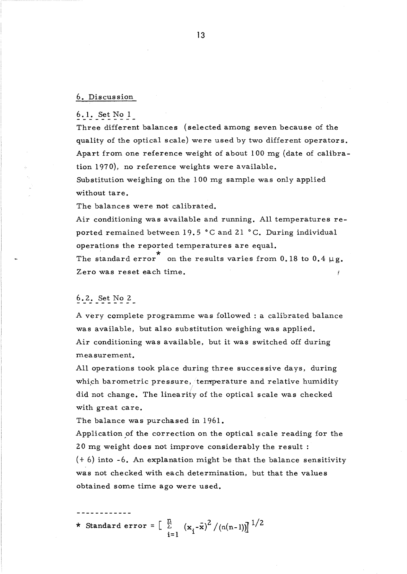### 6. Discussion

6.1. Set No 1

Three different balances (selected among seven because of the quality of the optical scale) were used by two different operators. Apart from one reference weight of about 100 mg (date of calibration 1970), no reference weights were available.

Substitution weighing on the 100 mg sample was only applied without tare.

The balances were not calibrated.

Air conditioning was available and running. AU temperatures reported remained between 19.5 °C and 21 °C. During individual operations the reported temperatures are equal.

operations the reported temperatures are equal.<br>The standard error con the results varies from 0.18 to 0.4  $\mu$ g. Zero was reset each time.

# 6.2. Set No 2

A very complete programme was followed : a calibrated balance was available, but also substitution weighing was applied. Air conditioning was available, but it was switched off during measurement.

All operations took place during three successive days, during which barometric pressure, temperature and relative humidity did not change. The linearity of the optical scale was checked with great care.

The balance was purchased in 1961.

Application of the correction on the optical scale reading for the 20 mg weight does not improve considerably the result : (+ 6) into -6. An explanation might be that the balance sensitivity was not checked with each determination, but that the values obtained some time ago were used.

\* Standard error =  $\begin{bmatrix} \frac{n}{2} & (\mathbf{x}_i - \bar{\mathbf{x}})^2 / (n(n-1)) \end{bmatrix}^{1/2}$ i= l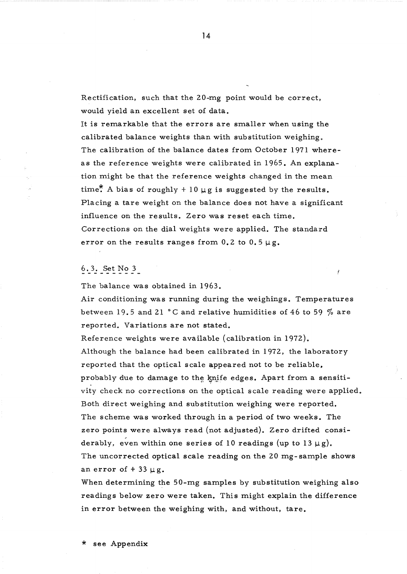Rectification, such that the 20-mg point would be correct, would yield an excellent set of data.

It is remarkable that the errors are smaller when using the calibrated balance weights than with substitution weighing. The calibration of the balance dates from October 1971 whereas the reference weights were calibrated in 1965. An explanation might be that the reference weights changed in the mean time. A bias of roughly + 10  $\mu$ g is suggested by the results. Placing a tare weight on the balance does not have a significant influence on the results. Zero was reset each time. Corrections on the dial weights were applied. The standard error on the results ranges from  $0.2$  to  $0.5 \mu g$ .

# 6.3. Set No 3

The balance was obtained in 1963.

Air conditioning was running during the weighings. Temperatures between 19.5 and 21 °C and relative humidities of 46 to 59  $%$  are reported. Variations are not stated.

Reference weights were available (calibration in 1972). Although the balance had been calibrated in 1972, the laboratory reported that the optical scale appeared not to be reliable. probably due to damage to the knife edges. Apart from a sensitivity check no corrections on the optical scale reading were applied. Both direct weighing and substitution weighing were reported. The scheme was worked through in a period of two weeks. The zero points were always read (not adjusted). Zero drifted considerably, even within one series of 10 readings (up to 13  $\mu$ g). The uncorrected optical scale reading on the 20 mg- sample shows an error of  $+33 \mu$ g.

When determining the 50-mg samples by substitution weighing also readings below zero were taken. This might explain the difference in error between the weighing with, and without, tare.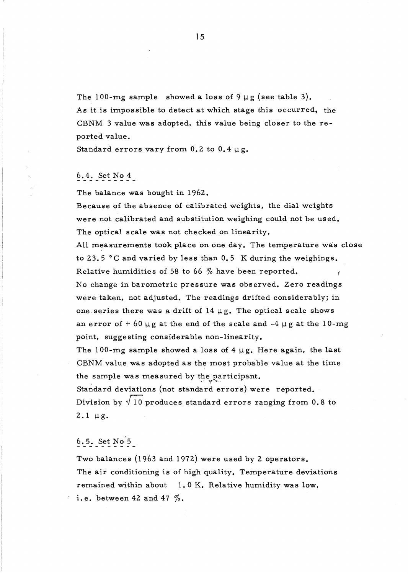The 100-mg sample showed a loss of  $9 \mu$ g (see table 3). As it is impossible to detect at which stage this occurred, the CBNM 3 value was adopted, this value being closer to the reported value.

Standard errors vary from 0.2 to  $0.4 \mu$ g.

# 6.4. Set No 4

The balance was bought in 1962.

Because of the absence of calibrated weights, the dial weights were not calibrated and substitution weighing could not be used. The optical scale was not checked on linearity.

AU measurements took place on one day. The temperature was close to 23.5  $\degree$ C and varied by less than 0.5 K during the weighings. Relative humidities of 58 to 66 *10* have been reported. No change in barometric pressure was observed. Zero readings were taken, not adjusted. The readings drifted considerably; in one series there was a drift of  $14 \mu g$ . The optical scale shows an error of  $+60 \mu$ g at the end of the scale and  $-4 \mu$ g at the 10-mg point, suggesting considerable non-linearity.

The 100-mg sample showed a loss of  $4 \mu$ g. Here again, the last CBNM value was adopted as the most probable value at the time the sample was measured by the participant.

Standard deviations (not standard errors) were reported. Division by  $\sqrt{10}$  produces standard errors ranging from 0.8 to  $2.1 \mu g$ .

# 6.5. Set No 5

Two balances (1963 and 1972) were used by 2 operators. The air conditioning is of high quality. Temperature deviations remained within about 1.0 K. Relative humidity was low, i.e. between 42 and 47  $\%$ .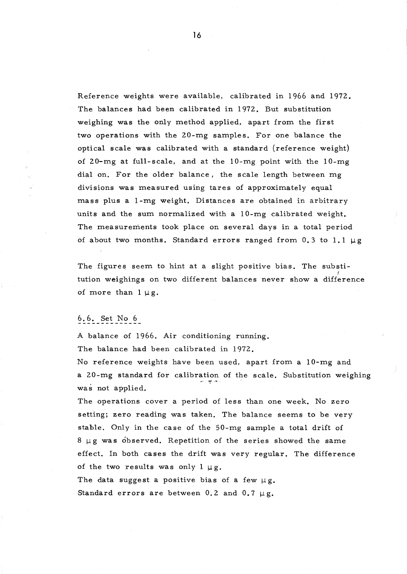Reference weights were available, calibrated in 1966 and 1972. The balances had been calibrated in 1972. But substitution weighing was the only method applied, apart from the first two operations with the 20-mg samples. For one balance the optical scale was calibrated with a standard (reference weight) of 20-mg at full- scale, and at the lO-mg point with the lO-mg dial on. For the older balance, the scale length between mg divisions was measured using tares of approximately equal mass plus a 1-mg weight. Distances are obtained in arbitrary units and the sum normalized with a lO-mg calibrated weight. The measurements took place on several days in a total period of about two months. Standard errors ranged from  $0.3$  to  $1.1 \mu$ g

The figures seem to hint at a slight positive bias. The substitution weighings on two different balances never show a difference of more than  $1 \mu g$ .

## 6.6. Set No 6

A balance of 1966. Air conditioning running. The balance had been calibrated in 1972.

No reference weights have been used, apart from a 10-mg and a 20-mg standard for calibration of the scale. Substitution weighing was not applied.

The operations cover a period of 1ess than one week. No zero setting; zero reading was taken. The balance seems to be very stable. Only in the case of the 50-mg sample a total drift of  $8 \mu g$  was observed. Repetition of the series showed the same effect. In both cases the drift was very regular. The difference of the two results was only  $l \mu g$ . The data suggest a positive bias of a few  $\mu$ g. Standard errors are between 0.2 and 0.7  $\mu$ g.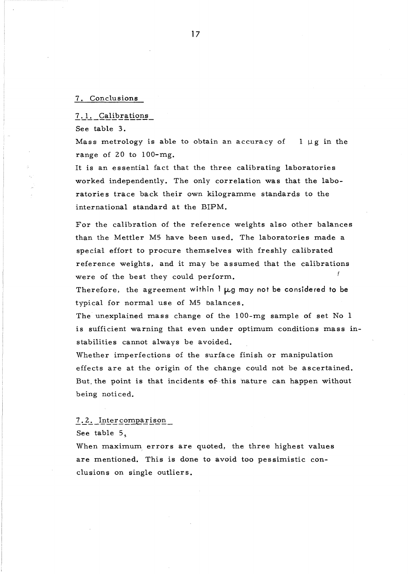#### 7. Conclusions

7.1. Calibrations

See table 3.

Mass metrology is able to obtain an accuracy of  $\iota$   $\mu$ g in the range of 20 to 100-mg.

It is an essential fact that the three calibrating laboratories worked independently. The only correlation was that the laboratories trace back their own kilogramme standards to the international standard at the BIPM.

For the calibration of the reference weights also other balances than the Mettler M5 have been used. The laboratories made a special effort to procure themselves with freshly calibrated reference weights, and it may be assumed that the calibrations were of the best they could perform.

Therefore, the agreement within  $l \mu g$  may not be considered to be typical for normal use of M5 balances.

The unexplained mass change of the 100-mg sample of set No 1 is sufficient warning that even under optimum conditions mass instabilities cannot always be avoided.

Whether imperfections of the surface finish or manipulation effects are at the origin of the change could not be ascertained. But the point is that incidents of this nature can happen without being noticed.

#### 7.2. Intercomparison

See table 5.

When maximum errors are quoted, the three highest values are mentioned. This is done to avoid too pessimistic conclusions on single outliers.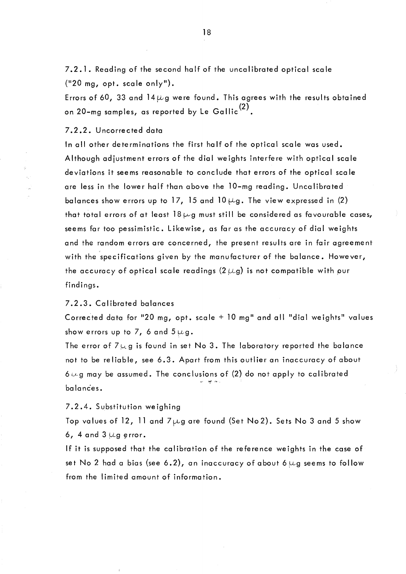7.2.1. Reading of the second half of the uncalibrated optical scale  $("20 mg, opt. scale only").$ 

Errors of 60, 33 and 14  $\mu$  g were found. This agrees with the results obtained on 20-mg samples, as reported by Le Gallic $(2)$ .

### 7.2.2. Uncorrected data

In all other determinations the first half of the optical scale was used. Although adjustment errors of the dial weights interfere with optical scale deviations it seems reasonable to conclude that errors of the optical scale are less in the lower half than above the 10-mg reading. Uncalibrated balances show errors up to 17, 15 and 10  $\mu$ g. The view expressed in (2) that total errors of at least 18 $\mu$ g must still be considered as favourable cases, seems far too pessimistic. Likewise, as far as the accuracy of dial weights and the random errors are concerned, the present results are in fair agreement with the specifications given by the manufacturer of the balance. However, the accuracy of optical scale readings (2  $\mu$ g) is not compatible with pur findings.

### 7.2.3. Calibrated balances

Corrected data for "20 mg, opt. scale  $+$  10 mg" and all "dial weights" values show errors up to 7, 6 and  $5 \mu g$ .

The error of  $7\mu$ g is found in set No 3. The laboratory reported the balance not to be reliable, see 6.3. Apart from this outlier an inaccuracy of about 6 $\omega$ g may be assumed. The conclusions of (2) do not apply to calibrated ba la nces.

### 7.2.4. Substitution weighing

Top values of 12, 11 and  $7\mu$ g are found (Set No2). Sets No 3 and 5 show 6, 4 and 3  $\mu$ g error.

If it is supposed that the calibration of the reference weights in the case of set No 2 had a bias (see 6.2), an inaccuracy of about 6  $\mu$ g seems to follow from the limited amount of information.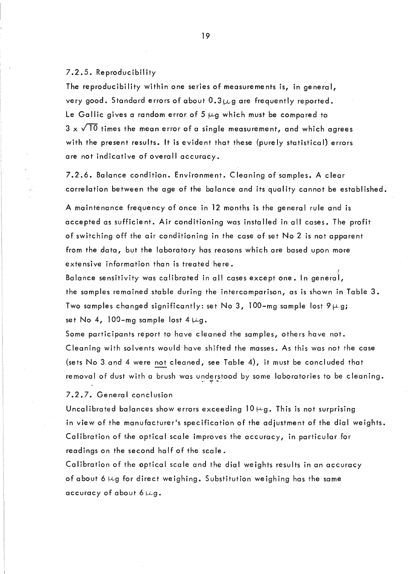7.2.5. Reproducibility

The reproducibility within one series of measurements is, in general, very good. Standard errors of about  $0.3\mu$ g are frequently reported. Le Gallic gives a random error of 5  $\mu$ g which must be compared to  $3 \times \sqrt{10}$  times the mean error of a single measurement, and which agrees with the present results. It is evident that these (purely statistical) errors are not indicative of overall accuracy.

7.2.6. Balance condition. Environment. Cleaning of samples. A clear correlation between the age of the balance and its quality cannot be established.

A maintenance frequency of once in 12 months is the general rule and is accepted as sufficient. Air conditioning was installed in ail cases. The profit of switching off the air conditioning in the case of set No 2 is not apparent from the data, but the laboratory has reasons which are based upon more extensive information than is treated here.

Balance sensitivity was calibrated in all cases except one. In general,  $\rq$ the samples remained stable during the intercomparison, as is shown in Table 3. Two samples changed significantly: set No 3, 100-mg sample lost  $9 \mu g$ ; set No 4, 100-mg sample lost  $4 \mu g$ .

Some participants report to have cleaned the samples, others have not. Cleaning with solvents would have shifted the masses. As this was not the case (sets No 3 and 4 were not cleaned, see Table 4), it must be concluded that removal of dust with a brush was understood by some laboratories to be cleaning.

7.2.7. General conclusion

Uncalibrated balances show errors exceeding  $10 \mu$ g. This is not surprising in view of the manufacturer's specification of the adjustment of the dial weights. Calibration of the optical scale improves the accuracy, in particular for readings on the second half of the scale.

Calibration of the optical scale and the dial weights results in an accuracy of about *6,Uvg* for direct weighing. Substitution weighing has the same accuracy of about  $6 \mu g$ .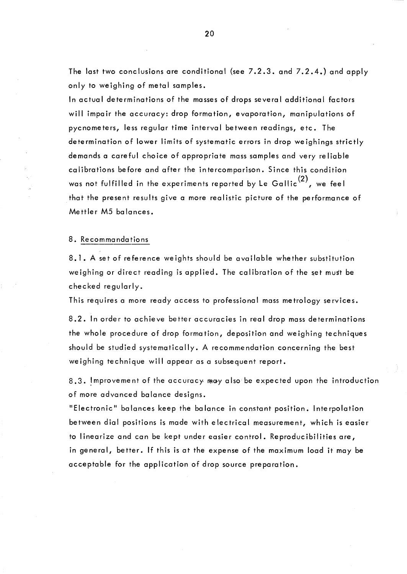The last two conclusions are conditional (see 7.2.3. and 7.2.4.) and apply only to weighing of metal samples.

ln actual determinations of the masses of drops several additional factors will impair the accuracy: drop formation, evaporation, manipulations of pycnometers, less regular time interval between readings, etc. The determination of lower limits of systematic errors in drop weighings strictly demands a careful choice of appropriate mass samples and very reliable calibrations before and after the intercomparison. Since this condition was not fulfilled in the experiments reported by Le Gallic<sup>(2)</sup>, we feel that the present results give a more realistic picture of the performance of Mettler M5 balances.

### 8. Recommandations

8.1. A set of reference weights should be available whether substitution weighing or direct reading is applied. The calibration of the set must be checked regularly.

This requires a more ready access to professional mass metrology services.

8.2. In order to achieve better accuracies in real drop mass determinations the whole procedure of drop formation, deposition and weighing techniques should be studied systematically. A recommendation concerning the best weighing technique will appear as a subsequent report.

8.3. Improvement of the accuracy may also be expected upon the introduction of more advanced balance designs.

"Electronic" balances keep the balance in constant position. Interpolation between dial positions is made with electrical measurement, which is easier to linearize and can be kept under easier control. Reproducibilities are, in general, better. If this is at the expense of the maximum load it may be acceptable for the application of drop source preparation.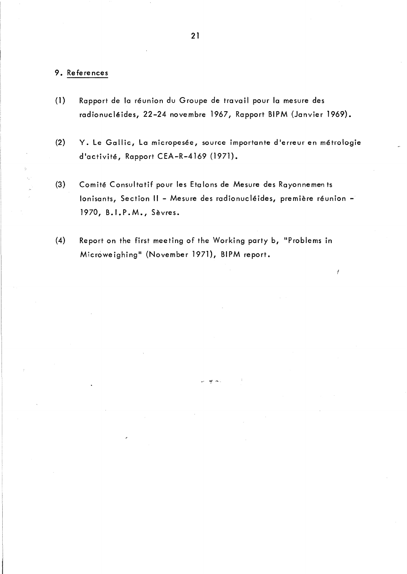# 9. References

- (1) Rapport de la réunion du Groupe de travail pour la mesure des radionucléides, 22-24 novembre 1967, Rapport BIPM (Janvier 1969).
- (2) Y. Le Gallic, La micropesée, source importante d'erreur en métrologie d'activité, Rapport CEA-R-4169 (1971).
- (3) Comité Consultatif pour les Etalons de Mesure des Rayonnemen ts Ionisants, Section II - Mesure des radionucléides, première réunion -1970, B.I.P.M., Sèvres.

"1. ,"il"

(4) Report on the first meeting of the Working party b, "Problems in Microweighing" (November 1971), BIPM report.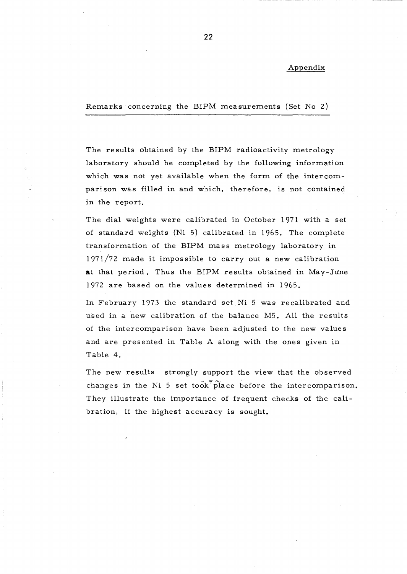#### Appendix

Remarks concerning the BIPM measurements (Set No 2)

The results obtained by the BIPM radioactivity metrology laboratory should be completed by the following information which was not yet available when the form of the intercomparison was filled in and which, therefore, is not contained in the report.

The dial weights were calibrated in October 1971 with a set of standard weights (Ni 5) calibrated in 1965. The complete transformation of the BIPM mass metrology laboratory in  $1971/72$  made it impossible to carry out a new calibration **at** that period. Thus the BIPM results obtained in May-June 1972 are based on the values determined in 1965.

In February 1973 the standard set Ni 5 was recalibrated and used in a new calibration of the balance M5. AIl the results of the intercomparison have been adjusted to the new values and are presented in Table A along with the ones given in Table 4.

The new results strongly support the view that the observed changes in the Ni 5 set took place before the intercomparison. They illustrate the importance of frequent checks of the calibration, if the highest accuracy is sought.